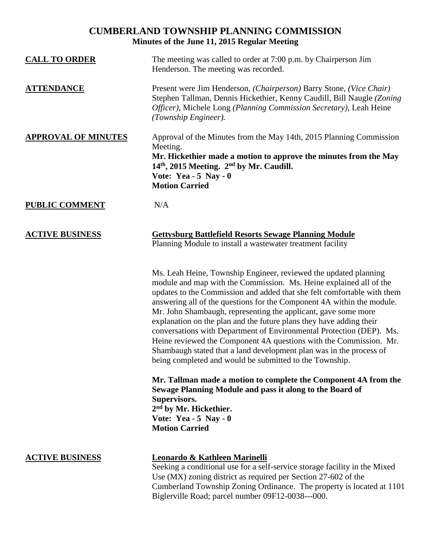## **CUMBERLAND TOWNSHIP PLANNING COMMISSION Minutes of the June 11, 2015 Regular Meeting**

| <b>CALL TO ORDER</b>       | The meeting was called to order at 7:00 p.m. by Chairperson Jim<br>Henderson. The meeting was recorded.                                                                                                                                                                                                                                                                                                                                                                                                                                                                                                                                                                                                              |
|----------------------------|----------------------------------------------------------------------------------------------------------------------------------------------------------------------------------------------------------------------------------------------------------------------------------------------------------------------------------------------------------------------------------------------------------------------------------------------------------------------------------------------------------------------------------------------------------------------------------------------------------------------------------------------------------------------------------------------------------------------|
| <b>ATTENDANCE</b>          | Present were Jim Henderson, (Chairperson) Barry Stone, (Vice Chair)<br>Stephen Tallman, Dennis Hickethier, Kenny Caudill, Bill Naugle (Zoning<br>Officer), Michele Long (Planning Commission Secretary), Leah Heine<br>(Township Engineer).                                                                                                                                                                                                                                                                                                                                                                                                                                                                          |
| <b>APPROVAL OF MINUTES</b> | Approval of the Minutes from the May 14th, 2015 Planning Commission<br>Meeting.<br>Mr. Hickethier made a motion to approve the minutes from the May<br>14 <sup>th</sup> , 2015 Meeting. 2 <sup>nd</sup> by Mr. Caudill.<br>Vote: Yea - $5$ Nay - 0<br><b>Motion Carried</b>                                                                                                                                                                                                                                                                                                                                                                                                                                          |
| <b>PUBLIC COMMENT</b>      | N/A                                                                                                                                                                                                                                                                                                                                                                                                                                                                                                                                                                                                                                                                                                                  |
| <b>ACTIVE BUSINESS</b>     | <b>Gettysburg Battlefield Resorts Sewage Planning Module</b><br>Planning Module to install a wastewater treatment facility                                                                                                                                                                                                                                                                                                                                                                                                                                                                                                                                                                                           |
|                            | Ms. Leah Heine, Township Engineer, reviewed the updated planning<br>module and map with the Commission. Ms. Heine explained all of the<br>updates to the Commission and added that she felt comfortable with them<br>answering all of the questions for the Component 4A within the module.<br>Mr. John Shambaugh, representing the applicant, gave some more<br>explanation on the plan and the future plans they have adding their<br>conversations with Department of Environmental Protection (DEP). Ms.<br>Heine reviewed the Component 4A questions with the Commission. Mr.<br>Shambaugh stated that a land development plan was in the process of<br>being completed and would be submitted to the Township. |
|                            | Mr. Tallman made a motion to complete the Component 4A from the<br>Sewage Planning Module and pass it along to the Board of<br>Supervisors.<br>2 <sup>nd</sup> by Mr. Hickethier.<br>Vote: Yea - $5$ Nay - 0<br><b>Motion Carried</b>                                                                                                                                                                                                                                                                                                                                                                                                                                                                                |
| <b>ACTIVE BUSINESS</b>     | Leonardo & Kathleen Marinelli<br>Seeking a conditional use for a self-service storage facility in the Mixed<br>Use (MX) zoning district as required per Section 27-602 of the                                                                                                                                                                                                                                                                                                                                                                                                                                                                                                                                        |

Cumberland Township Zoning Ordinance. The property is located at 1101 Biglerville Road; parcel number 09F12-0038---000.